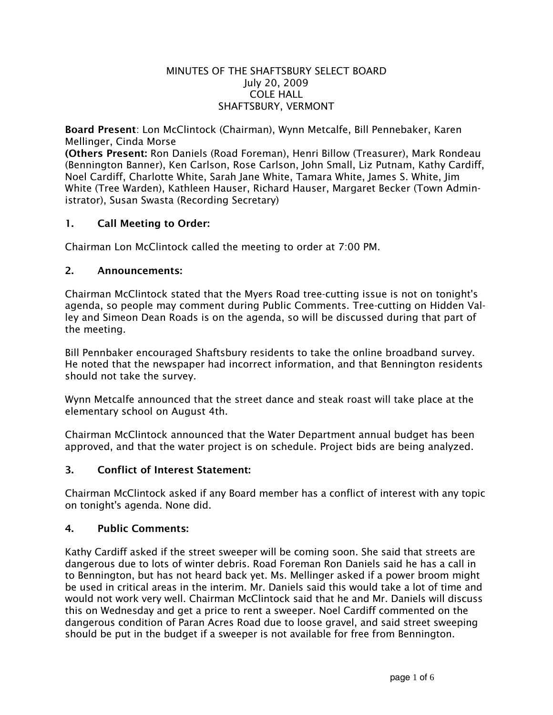## MINUTES OF THE SHAFTSBURY SELECT BOARD July 20, 2009 COLE HALL SHAFTSBURY, VERMONT

Board Present: Lon McClintock (Chairman), Wynn Metcalfe, Bill Pennebaker, Karen Mellinger, Cinda Morse

(Others Present: Ron Daniels (Road Foreman), Henri Billow (Treasurer), Mark Rondeau (Bennington Banner), Ken Carlson, Rose Carlson, John Small, Liz Putnam, Kathy Cardiff, Noel Cardiff, Charlotte White, Sarah Jane White, Tamara White, James S. White, Jim White (Tree Warden), Kathleen Hauser, Richard Hauser, Margaret Becker (Town Administrator), Susan Swasta (Recording Secretary)

# 1. Call Meeting to Order:

Chairman Lon McClintock called the meeting to order at 7:00 PM.

## 2. Announcements:

Chairman McClintock stated that the Myers Road tree-cutting issue is not on tonight's agenda, so people may comment during Public Comments. Tree-cutting on Hidden Valley and Simeon Dean Roads is on the agenda, so will be discussed during that part of the meeting.

Bill Pennbaker encouraged Shaftsbury residents to take the online broadband survey. He noted that the newspaper had incorrect information, and that Bennington residents should not take the survey.

Wynn Metcalfe announced that the street dance and steak roast will take place at the elementary school on August 4th.

Chairman McClintock announced that the Water Department annual budget has been approved, and that the water project is on schedule. Project bids are being analyzed.

## 3. Conflict of Interest Statement:

Chairman McClintock asked if any Board member has a conflict of interest with any topic on tonight's agenda. None did.

## 4. Public Comments:

Kathy Cardiff asked if the street sweeper will be coming soon. She said that streets are dangerous due to lots of winter debris. Road Foreman Ron Daniels said he has a call in to Bennington, but has not heard back yet. Ms. Mellinger asked if a power broom might be used in critical areas in the interim. Mr. Daniels said this would take a lot of time and would not work very well. Chairman McClintock said that he and Mr. Daniels will discuss this on Wednesday and get a price to rent a sweeper. Noel Cardiff commented on the dangerous condition of Paran Acres Road due to loose gravel, and said street sweeping should be put in the budget if a sweeper is not available for free from Bennington.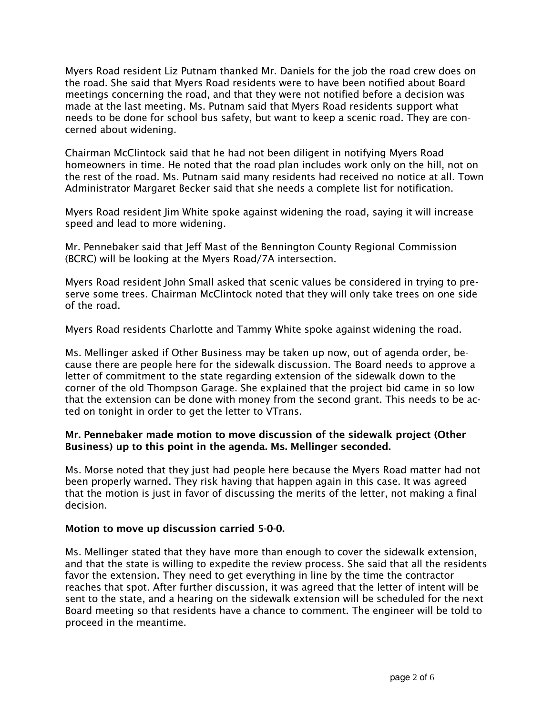Myers Road resident Liz Putnam thanked Mr. Daniels for the job the road crew does on the road. She said that Myers Road residents were to have been notified about Board meetings concerning the road, and that they were not notified before a decision was made at the last meeting. Ms. Putnam said that Myers Road residents support what needs to be done for school bus safety, but want to keep a scenic road. They are concerned about widening.

Chairman McClintock said that he had not been diligent in notifying Myers Road homeowners in time. He noted that the road plan includes work only on the hill, not on the rest of the road. Ms. Putnam said many residents had received no notice at all. Town Administrator Margaret Becker said that she needs a complete list for notification.

Myers Road resident Jim White spoke against widening the road, saying it will increase speed and lead to more widening.

Mr. Pennebaker said that Jeff Mast of the Bennington County Regional Commission (BCRC) will be looking at the Myers Road/7A intersection.

Myers Road resident John Small asked that scenic values be considered in trying to preserve some trees. Chairman McClintock noted that they will only take trees on one side of the road.

Myers Road residents Charlotte and Tammy White spoke against widening the road.

Ms. Mellinger asked if Other Business may be taken up now, out of agenda order, because there are people here for the sidewalk discussion. The Board needs to approve a letter of commitment to the state regarding extension of the sidewalk down to the corner of the old Thompson Garage. She explained that the project bid came in so low that the extension can be done with money from the second grant. This needs to be acted on tonight in order to get the letter to VTrans.

## Mr. Pennebaker made motion to move discussion of the sidewalk project (Other Business) up to this point in the agenda. Ms. Mellinger seconded.

Ms. Morse noted that they just had people here because the Myers Road matter had not been properly warned. They risk having that happen again in this case. It was agreed that the motion is just in favor of discussing the merits of the letter, not making a final decision.

## Motion to move up discussion carried 5-0-0.

Ms. Mellinger stated that they have more than enough to cover the sidewalk extension, and that the state is willing to expedite the review process. She said that all the residents favor the extension. They need to get everything in line by the time the contractor reaches that spot. After further discussion, it was agreed that the letter of intent will be sent to the state, and a hearing on the sidewalk extension will be scheduled for the next Board meeting so that residents have a chance to comment. The engineer will be told to proceed in the meantime.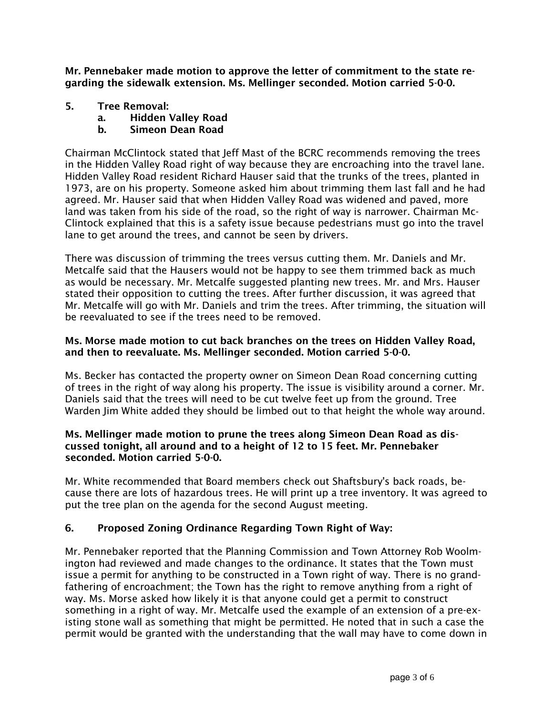Mr. Pennebaker made motion to approve the letter of commitment to the state regarding the sidewalk extension. Ms. Mellinger seconded. Motion carried 5-0-0.

- 5. Tree Removal:
	- a. Hidden Valley Road
	- b. Simeon Dean Road

Chairman McClintock stated that Jeff Mast of the BCRC recommends removing the trees in the Hidden Valley Road right of way because they are encroaching into the travel lane. Hidden Valley Road resident Richard Hauser said that the trunks of the trees, planted in 1973, are on his property. Someone asked him about trimming them last fall and he had agreed. Mr. Hauser said that when Hidden Valley Road was widened and paved, more land was taken from his side of the road, so the right of way is narrower. Chairman Mc-Clintock explained that this is a safety issue because pedestrians must go into the travel lane to get around the trees, and cannot be seen by drivers.

There was discussion of trimming the trees versus cutting them. Mr. Daniels and Mr. Metcalfe said that the Hausers would not be happy to see them trimmed back as much as would be necessary. Mr. Metcalfe suggested planting new trees. Mr. and Mrs. Hauser stated their opposition to cutting the trees. After further discussion, it was agreed that Mr. Metcalfe will go with Mr. Daniels and trim the trees. After trimming, the situation will be reevaluated to see if the trees need to be removed.

# Ms. Morse made motion to cut back branches on the trees on Hidden Valley Road, and then to reevaluate. Ms. Mellinger seconded. Motion carried 5-0-0.

Ms. Becker has contacted the property owner on Simeon Dean Road concerning cutting of trees in the right of way along his property. The issue is visibility around a corner. Mr. Daniels said that the trees will need to be cut twelve feet up from the ground. Tree Warden Jim White added they should be limbed out to that height the whole way around.

## Ms. Mellinger made motion to prune the trees along Simeon Dean Road as discussed tonight, all around and to a height of 12 to 15 feet. Mr. Pennebaker seconded. Motion carried 5-0-0.

Mr. White recommended that Board members check out Shaftsbury's back roads, because there are lots of hazardous trees. He will print up a tree inventory. It was agreed to put the tree plan on the agenda for the second August meeting.

# 6. Proposed Zoning Ordinance Regarding Town Right of Way:

Mr. Pennebaker reported that the Planning Commission and Town Attorney Rob Woolmington had reviewed and made changes to the ordinance. It states that the Town must issue a permit for anything to be constructed in a Town right of way. There is no grandfathering of encroachment; the Town has the right to remove anything from a right of way. Ms. Morse asked how likely it is that anyone could get a permit to construct something in a right of way. Mr. Metcalfe used the example of an extension of a pre-existing stone wall as something that might be permitted. He noted that in such a case the permit would be granted with the understanding that the wall may have to come down in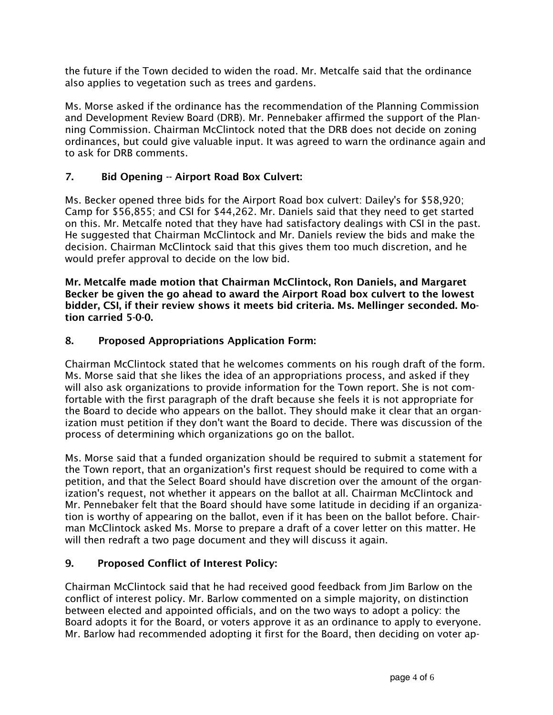the future if the Town decided to widen the road. Mr. Metcalfe said that the ordinance also applies to vegetation such as trees and gardens.

Ms. Morse asked if the ordinance has the recommendation of the Planning Commission and Development Review Board (DRB). Mr. Pennebaker affirmed the support of the Planning Commission. Chairman McClintock noted that the DRB does not decide on zoning ordinances, but could give valuable input. It was agreed to warn the ordinance again and to ask for DRB comments.

# 7. Bid Opening -- Airport Road Box Culvert:

Ms. Becker opened three bids for the Airport Road box culvert: Dailey's for \$58,920; Camp for \$56,855; and CSI for \$44,262. Mr. Daniels said that they need to get started on this. Mr. Metcalfe noted that they have had satisfactory dealings with CSI in the past. He suggested that Chairman McClintock and Mr. Daniels review the bids and make the decision. Chairman McClintock said that this gives them too much discretion, and he would prefer approval to decide on the low bid.

Mr. Metcalfe made motion that Chairman McClintock, Ron Daniels, and Margaret Becker be given the go ahead to award the Airport Road box culvert to the lowest bidder, CSI, if their review shows it meets bid criteria. Ms. Mellinger seconded. Motion carried 5-0-0.

# 8. Proposed Appropriations Application Form:

Chairman McClintock stated that he welcomes comments on his rough draft of the form. Ms. Morse said that she likes the idea of an appropriations process, and asked if they will also ask organizations to provide information for the Town report. She is not comfortable with the first paragraph of the draft because she feels it is not appropriate for the Board to decide who appears on the ballot. They should make it clear that an organization must petition if they don't want the Board to decide. There was discussion of the process of determining which organizations go on the ballot.

Ms. Morse said that a funded organization should be required to submit a statement for the Town report, that an organization's first request should be required to come with a petition, and that the Select Board should have discretion over the amount of the organization's request, not whether it appears on the ballot at all. Chairman McClintock and Mr. Pennebaker felt that the Board should have some latitude in deciding if an organization is worthy of appearing on the ballot, even if it has been on the ballot before. Chairman McClintock asked Ms. Morse to prepare a draft of a cover letter on this matter. He will then redraft a two page document and they will discuss it again.

# 9. Proposed Conflict of Interest Policy:

Chairman McClintock said that he had received good feedback from Jim Barlow on the conflict of interest policy. Mr. Barlow commented on a simple majority, on distinction between elected and appointed officials, and on the two ways to adopt a policy: the Board adopts it for the Board, or voters approve it as an ordinance to apply to everyone. Mr. Barlow had recommended adopting it first for the Board, then deciding on voter ap-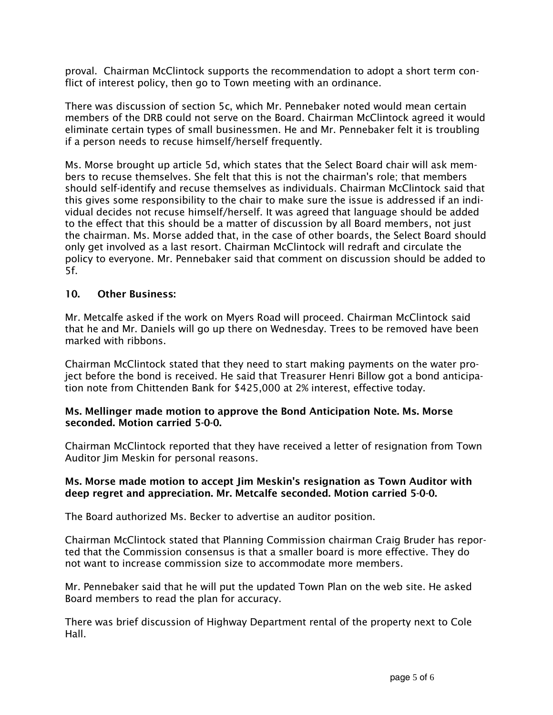proval. Chairman McClintock supports the recommendation to adopt a short term conflict of interest policy, then go to Town meeting with an ordinance.

There was discussion of section 5c, which Mr. Pennebaker noted would mean certain members of the DRB could not serve on the Board. Chairman McClintock agreed it would eliminate certain types of small businessmen. He and Mr. Pennebaker felt it is troubling if a person needs to recuse himself/herself frequently.

Ms. Morse brought up article 5d, which states that the Select Board chair will ask members to recuse themselves. She felt that this is not the chairman's role; that members should self-identify and recuse themselves as individuals. Chairman McClintock said that this gives some responsibility to the chair to make sure the issue is addressed if an individual decides not recuse himself/herself. It was agreed that language should be added to the effect that this should be a matter of discussion by all Board members, not just the chairman. Ms. Morse added that, in the case of other boards, the Select Board should only get involved as a last resort. Chairman McClintock will redraft and circulate the policy to everyone. Mr. Pennebaker said that comment on discussion should be added to 5f.

## 10. Other Business:

Mr. Metcalfe asked if the work on Myers Road will proceed. Chairman McClintock said that he and Mr. Daniels will go up there on Wednesday. Trees to be removed have been marked with ribbons.

Chairman McClintock stated that they need to start making payments on the water project before the bond is received. He said that Treasurer Henri Billow got a bond anticipation note from Chittenden Bank for \$425,000 at 2% interest, effective today.

## Ms. Mellinger made motion to approve the Bond Anticipation Note. Ms. Morse seconded. Motion carried 5-0-0.

Chairman McClintock reported that they have received a letter of resignation from Town Auditor Jim Meskin for personal reasons.

## Ms. Morse made motion to accept Jim Meskin's resignation as Town Auditor with deep regret and appreciation. Mr. Metcalfe seconded. Motion carried 5-0-0.

The Board authorized Ms. Becker to advertise an auditor position.

Chairman McClintock stated that Planning Commission chairman Craig Bruder has reported that the Commission consensus is that a smaller board is more effective. They do not want to increase commission size to accommodate more members.

Mr. Pennebaker said that he will put the updated Town Plan on the web site. He asked Board members to read the plan for accuracy.

There was brief discussion of Highway Department rental of the property next to Cole Hall.